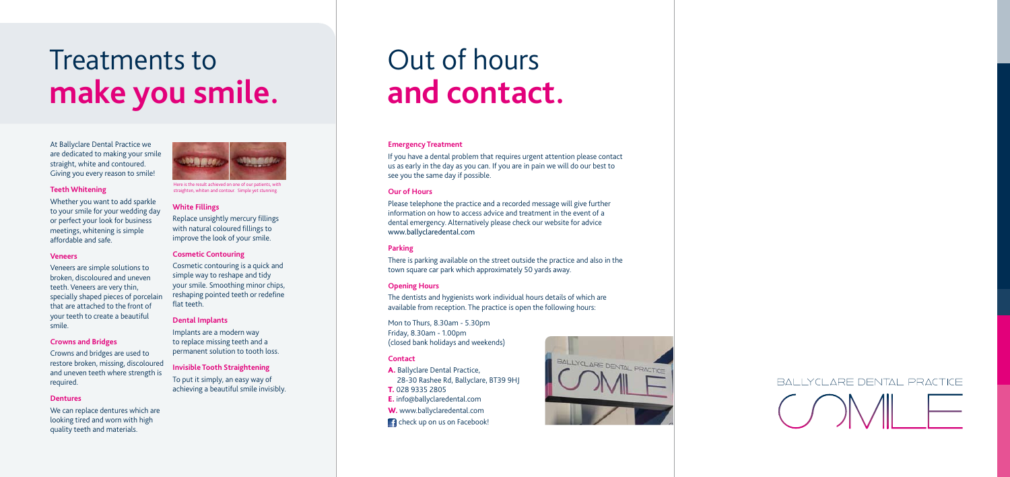

Here is the result achieved on one of our patients, with straighten, whiten and contour. Simple yet stunning.

# Treatments to **make you smile.**

### Out of hours **and contact.**

At Ballyclare Dental Practice we are dedicated to making your smile straight, white and contoured. Giving you every reason to smile!

#### **Teeth Whitening**

Whether you want to add sparkle to your smile for your wedding day or perfect your look for business meetings, whitening is simple affordable and safe.

#### **Veneers**

Veneers are simple solutions to broken, discoloured and uneven teeth. Veneers are very thin, specially shaped pieces of porcelain that are attached to the front of your teeth to create a beautiful smile.

#### **Crowns and Bridges**

Crowns and bridges are used to restore broken, missing, discoloured and uneven teeth where strength is required.

#### **Dentures**

We can replace dentures which are looking tired and worn with high quality teeth and materials.

#### **White Fillings**

Replace unsightly mercury fillings with natural coloured fillings to improve the look of your smile.

#### **Cosmetic Contouring**

A. Ballyclare Dental Practice, 28-30 Rashee Rd, Ballyclare, BT39 9HJ T. 028 9335 2805 E. info@ballyclaredental.com W. www.ballyclaredental.com **Conducts** check up on us on Facebook!



# BALLYCLARE DENTAL PRACTICE

Cosmetic contouring is a quick and simple way to reshape and tidy your smile. Smoothing minor chips, reshaping pointed teeth or redefine flat teeth.

#### **Dental Implants**

Implants are a modern way to replace missing teeth and a permanent solution to tooth loss.

#### **Invisible Tooth Straightening**

To put it simply, an easy way of achieving a beautiful smile invisibly.

#### **Emergency Treatment**

If you have a dental problem that requires urgent attention please contact us as early in the day as you can. If you are in pain we will do our best to see you the same day if possible.

#### **Our of Hours**

Please telephone the practice and a recorded message will give further information on how to access advice and treatment in the event of a dental emergency. Alternatively please check our website for advice www.ballyclaredental.com

#### **Parking**

There is parking available on the street outside the practice and also in the town square car park which approximately 50 yards away.

#### **Opening Hours**

The dentists and hygienists work individual hours details of which are available from reception. The practice is open the following hours:

Mon to Thurs, 8.30am - 5.30pm Friday, 8.30am - 1.00pm (closed bank holidays and weekends)

#### **Contact**